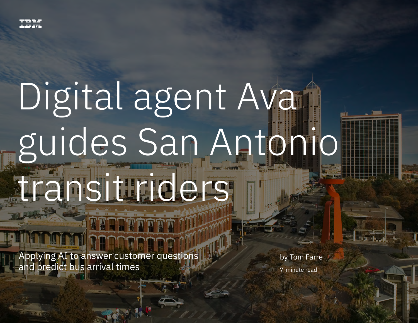

# Digital agent Ava guides San Antonio transit riders

Applying AI to answer customer questions and predict bus arrival times

by Tom Farre 7-minute read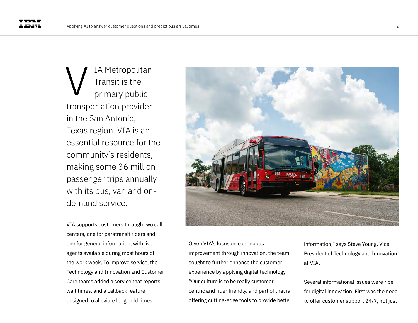IA Metropolitan Transit is the primary public transportation provider in the San Antonio, Texas region. VIA is an essential resource for the community's residents, making some 36 million passenger trips annually with its bus, van and ondemand service. V

VIA supports customers through two call centers, one for paratransit riders and one for general information, with live agents available during most hours of the work week. To improve service, the Technology and Innovation and Customer Care teams added a service that reports wait times, and a callback feature designed to alleviate long hold times.



Given VIA's focus on continuous improvement through innovation, the team sought to further enhance the customer experience by applying digital technology. "Our culture is to be really customer centric and rider friendly, and part of that is offering cutting-edge tools to provide better information," says Steve Young, Vice President of Technology and Innovation at VIA.

Several informational issues were ripe for digital innovation. First was the need to offer customer support 24/7, not just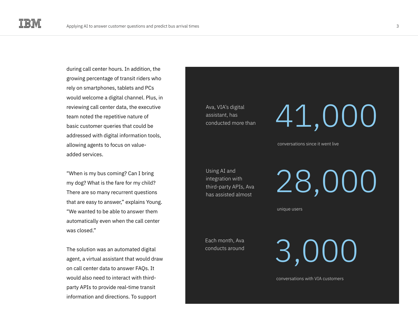during call center hours. In addition, the growing percentage of transit riders who rely on smartphones, tablets and PCs would welcome a digital channel. Plus, in reviewing call center data, the executive team noted the repetitive nature of basic customer queries that could be addressed with digital information tools, allowing agents to focus on valueadded services.

"When is my bus coming? Can I bring my dog? What is the fare for my child? There are so many recurrent questions that are easy to answer," explains Young. "We wanted to be able to answer them automatically even when the call center was closed."

The solution was an automated digital agent, a virtual assistant that would draw on call center data to answer FAQs. It would also need to interact with thirdparty APIs to provide real-time transit information and directions. To support

Ava, VIA's digital assistant, has conducted more than

Using AI and integration with third-party APIs, Ava has assisted almost

28,000

41,000

conversations since it went live

conversations with VIA customers

unique users

Each month, Ava<br>conducts around<br> $\left(3,000\right)$ conducts around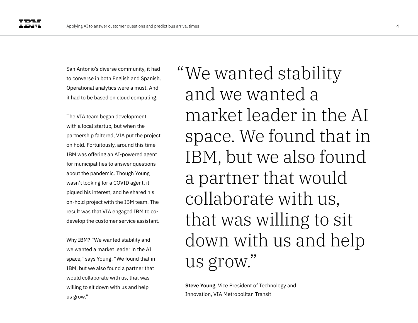San Antonio's diverse community, it had to converse in both English and Spanish. Operational analytics were a must. And it had to be based on cloud computing.

The VIA team began development with a local startup, but when the partnership faltered, VIA put the project on hold. Fortuitously, around this time IBM was offering an AI-powered agent for municipalities to answer questions about the pandemic. Though Young wasn't looking for a COVID agent, it piqued his interest, and he shared his on-hold project with the IBM team. The result was that VIA engaged IBM to codevelop the customer service assistant.

Why IBM? "We wanted stability and we wanted a market leader in the AI space," says Young. "We found that in IBM, but we also found a partner that would collaborate with us, that was willing to sit down with us and help us grow."

We wanted stability "and we wanted a market leader in the AI space. We found that in IBM, but we also found a partner that would collaborate with us, that was willing to sit down with us and help us grow."

**Steve Young**, Vice President of Technology and Innovation, VIA Metropolitan Transit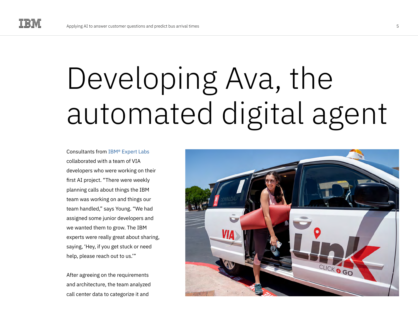## Developing Ava, the automated digital agent

Consultants from [IBM® Expert Labs](https://www.ibm.com/products/expertlabs) collaborated with a team of VIA developers who were working on their first AI project. "There were weekly planning calls about things the IBM team was working on and things our team handled," says Young. "We had assigned some junior developers and we wanted them to grow. The IBM experts were really great about sharing, saying, 'Hey, if you get stuck or need help, please reach out to us.'"

After agreeing on the requirements and architecture, the team analyzed call center data to categorize it and

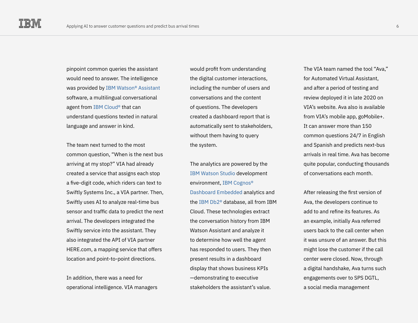pinpoint common queries the assistant would need to answer. The intelligence was provided by [IBM Watson® Assistant](https://www.ibm.com/products/watson-assistant)  software, a multilingual conversational agent from [IBM Cloud®](https://www.ibm.com/cloud) that can understand questions texted in natural language and answer in kind.

The team next turned to the most common question, "When is the next bus arriving at my stop?" VIA had already created a service that assigns each stop a five-digit code, which riders can text to Swiftly Systems Inc., a VIA partner. Then, Swiftly uses AI to analyze real-time bus sensor and traffic data to predict the next arrival. The developers integrated the Swiftly service into the assistant. They also integrated the API of VIA partner HERE.com, a mapping service that offers location and point-to-point directions.

In addition, there was a need for operational intelligence. VIA managers

would profit from understanding the digital customer interactions, including the number of users and conversations and the content of questions. The developers created a dashboard report that is automatically sent to stakeholders, without them having to query the system.

The analytics are powered by the [IBM Watson Studio](https://www.ibm.com/cloud/watson-studio) development environment, [IBM Cognos®](https://www.ibm.com/products/cognos-dashboard-embedded)  [Dashboard Embedded](https://www.ibm.com/products/cognos-dashboard-embedded) analytics and the [IBM Db2®](https://www.ibm.com/analytics/db2) database, all from IBM Cloud. These technologies extract the conversation history from IBM Watson Assistant and analyze it to determine how well the agent has responded to users. They then present results in a dashboard display that shows business KPIs —demonstrating to executive stakeholders the assistant's value.

The VIA team named the tool "Ava," for Automated Virtual Assistant, and after a period of testing and review deployed it in late 2020 on VIA's website. Ava also is available from VIA's mobile app, goMobile+. It can answer more than 150 common questions 24/7 in English and Spanish and predicts next-bus arrivals in real time. Ava has become quite popular, conducting thousands of conversations each month.

After releasing the first version of Ava, the developers continue to add to and refine its features. As an example, initially Ava referred users back to the call center when it was unsure of an answer. But this might lose the customer if the call center were closed. Now, through a digital handshake, Ava turns such engagements over to SPS DGTL, a social media management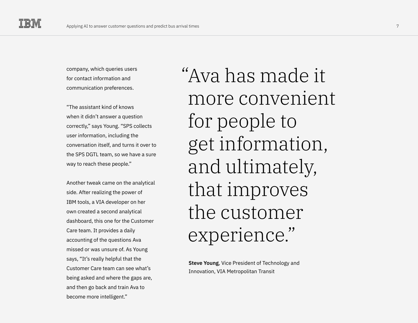company, which queries users for contact information and communication preferences.

"The assistant kind of knows when it didn't answer a question correctly," says Young. "SPS collects user information, including the conversation itself, and turns it over to the SPS DGTL team, so we have a sure way to reach these people."

Another tweak came on the analytical side. After realizing the power of IBM tools, a VIA developer on her own created a second analytical dashboard, this one for the Customer Care team. It provides a daily accounting of the questions Ava missed or was unsure of. As Young says, "It's really helpful that the Customer Care team can see what's being asked and where the gaps are, and then go back and train Ava to become more intelligent."

Ava has made it "more convenient for people to get information, and ultimately, that improves the customer experience."

**Steve Young**, Vice President of Technology and Innovation, VIA Metropolitan Transit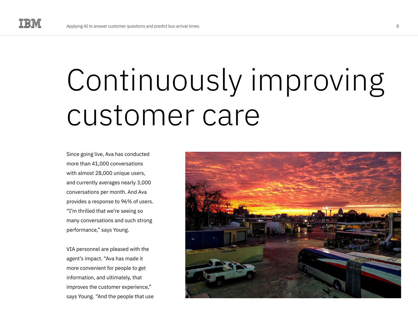## Continuously improving customer care

Since going live, Ava has conducted more than 41,000 conversations with almost 28,000 unique users, and currently averages nearly 3,000 conversations per month. And Ava provides a response to 96% of users. "I'm thrilled that we're seeing so many conversations and such strong performance," says Young.

VIA personnel are pleased with the agent's impact. "Ava has made it more convenient for people to get information, and ultimately, that improves the customer experience," says Young. "And the people that use

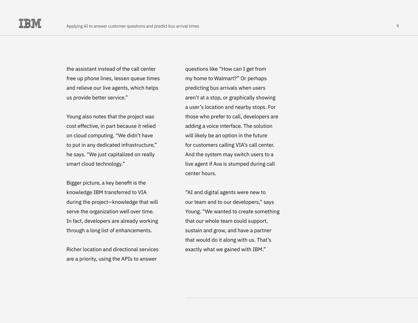the assistant instead of the call center free up phone lines, lessen queue times and relieve our live agents, which helps us provide better service."

Young also notes that the project was cost effective, in part because it relied on cloud computing. "We didn't have to put in any dedicated infrastructure," he says. "We just capitalized on really smart cloud technology."

Bigger picture, a key benefit is the knowledge IBM transferred to VIA during the project—knowledge that will serve the organization well over time. In fact, developers are already working through a long list of enhancements.

Richer location and directional services are a priority, using the APIs to answer

questions like "How can I get from my home to Walmart?" Or perhaps predicting bus arrivals when users aren't at a stop, or graphically showing a user's location and nearby stops. For those who prefer to call, developers are adding a voice interface. The solution will likely be an option in the future for customers calling VIA's call center. And the system may switch users to a live agent if Ava is stumped during call center hours.

"AI and digital agents were new to our team and to our developers," says Young. "We wanted to create something that our whole team could support, sustain and grow, and have a partner that would do it along with us. That's exactly what we gained with IBM."